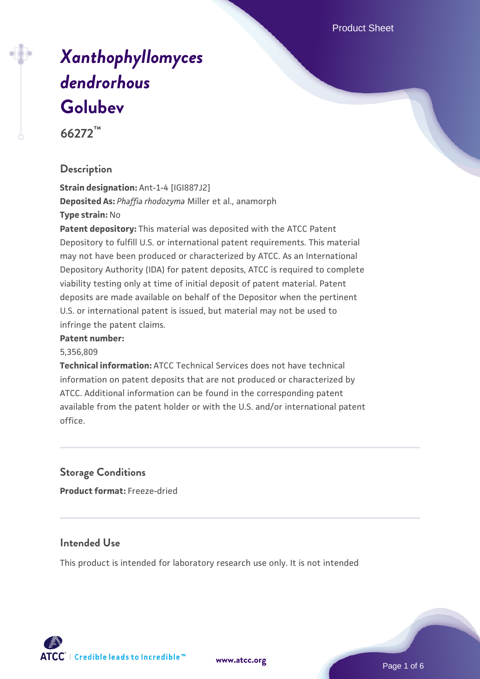Product Sheet

# *[Xanthophyllomyces](https://www.atcc.org/products/66272) [dendrorhous](https://www.atcc.org/products/66272)* **[Golubev](https://www.atcc.org/products/66272)**

**66272™**

#### **Description**

**Strain designation:** Ant-1-4 [IGI887J2] **Deposited As:** *Phaffia rhodozyma* Miller et al., anamorph **Type strain:** No

**Patent depository:** This material was deposited with the ATCC Patent Depository to fulfill U.S. or international patent requirements. This material may not have been produced or characterized by ATCC. As an International Depository Authority (IDA) for patent deposits, ATCC is required to complete viability testing only at time of initial deposit of patent material. Patent deposits are made available on behalf of the Depositor when the pertinent U.S. or international patent is issued, but material may not be used to infringe the patent claims.

#### **Patent number:**

5,356,809

**Technical information:** ATCC Technical Services does not have technical information on patent deposits that are not produced or characterized by ATCC. Additional information can be found in the corresponding patent available from the patent holder or with the U.S. and/or international patent office.

#### **Storage Conditions**

**Product format:** Freeze-dried

#### **Intended Use**

This product is intended for laboratory research use only. It is not intended

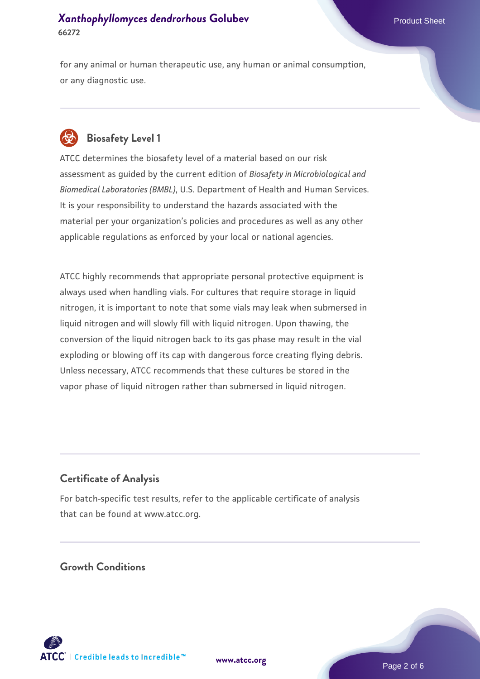for any animal or human therapeutic use, any human or animal consumption, or any diagnostic use.



#### **Biosafety Level 1**

ATCC determines the biosafety level of a material based on our risk assessment as guided by the current edition of *Biosafety in Microbiological and Biomedical Laboratories (BMBL)*, U.S. Department of Health and Human Services. It is your responsibility to understand the hazards associated with the material per your organization's policies and procedures as well as any other applicable regulations as enforced by your local or national agencies.

ATCC highly recommends that appropriate personal protective equipment is always used when handling vials. For cultures that require storage in liquid nitrogen, it is important to note that some vials may leak when submersed in liquid nitrogen and will slowly fill with liquid nitrogen. Upon thawing, the conversion of the liquid nitrogen back to its gas phase may result in the vial exploding or blowing off its cap with dangerous force creating flying debris. Unless necessary, ATCC recommends that these cultures be stored in the vapor phase of liquid nitrogen rather than submersed in liquid nitrogen.

#### **Certificate of Analysis**

For batch-specific test results, refer to the applicable certificate of analysis that can be found at www.atcc.org.

#### **Growth Conditions**

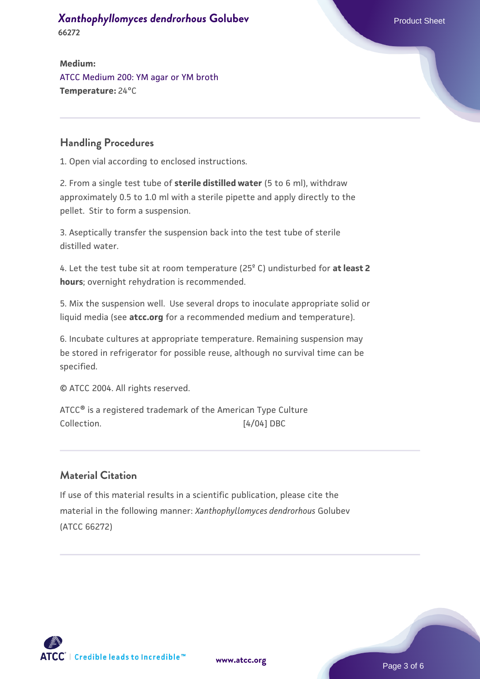**66272**

**Medium:**  [ATCC Medium 200: YM agar or YM broth](https://www.atcc.org/-/media/product-assets/documents/microbial-media-formulations/2/0/0/atcc-medium-200.pdf?rev=ac40fd74dc13433a809367b0b9da30fc) **Temperature:** 24°C

#### **Handling Procedures**

1. Open vial according to enclosed instructions.

2. From a single test tube of **sterile distilled water** (5 to 6 ml), withdraw approximately 0.5 to 1.0 ml with a sterile pipette and apply directly to the pellet. Stir to form a suspension.

3. Aseptically transfer the suspension back into the test tube of sterile distilled water.

4. Let the test tube sit at room temperature (25º C) undisturbed for **at least 2 hours**; overnight rehydration is recommended.

5. Mix the suspension well. Use several drops to inoculate appropriate solid or liquid media (see **atcc.org** for a recommended medium and temperature).

6. Incubate cultures at appropriate temperature. Remaining suspension may be stored in refrigerator for possible reuse, although no survival time can be specified.

© ATCC 2004. All rights reserved.

ATCC® is a registered trademark of the American Type Culture Collection.  $[4/04]$  DBC

#### **Material Citation**

If use of this material results in a scientific publication, please cite the material in the following manner: *Xanthophyllomyces dendrorhous* Golubev (ATCC 66272)



**[www.atcc.org](http://www.atcc.org)**

Page 3 of 6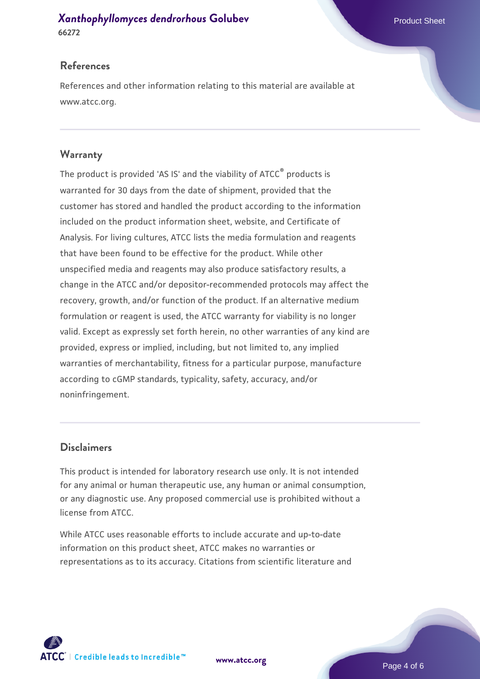#### **References**

References and other information relating to this material are available at www.atcc.org.

#### **Warranty**

The product is provided 'AS IS' and the viability of ATCC® products is warranted for 30 days from the date of shipment, provided that the customer has stored and handled the product according to the information included on the product information sheet, website, and Certificate of Analysis. For living cultures, ATCC lists the media formulation and reagents that have been found to be effective for the product. While other unspecified media and reagents may also produce satisfactory results, a change in the ATCC and/or depositor-recommended protocols may affect the recovery, growth, and/or function of the product. If an alternative medium formulation or reagent is used, the ATCC warranty for viability is no longer valid. Except as expressly set forth herein, no other warranties of any kind are provided, express or implied, including, but not limited to, any implied warranties of merchantability, fitness for a particular purpose, manufacture according to cGMP standards, typicality, safety, accuracy, and/or noninfringement.

#### **Disclaimers**

This product is intended for laboratory research use only. It is not intended for any animal or human therapeutic use, any human or animal consumption, or any diagnostic use. Any proposed commercial use is prohibited without a license from ATCC.

While ATCC uses reasonable efforts to include accurate and up-to-date information on this product sheet, ATCC makes no warranties or representations as to its accuracy. Citations from scientific literature and

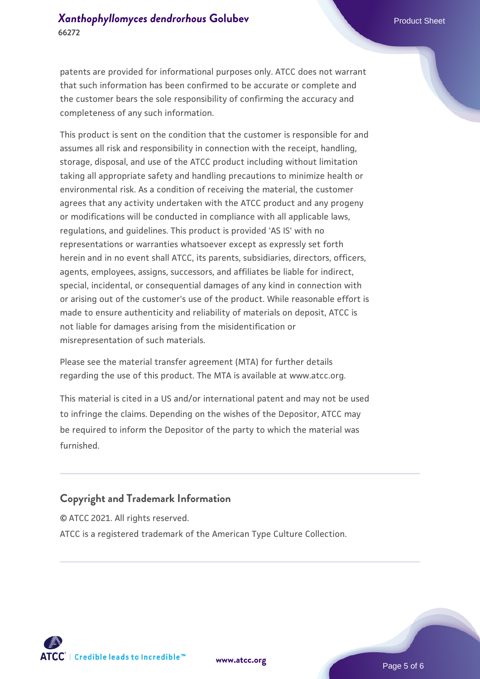patents are provided for informational purposes only. ATCC does not warrant that such information has been confirmed to be accurate or complete and the customer bears the sole responsibility of confirming the accuracy and completeness of any such information.

This product is sent on the condition that the customer is responsible for and assumes all risk and responsibility in connection with the receipt, handling, storage, disposal, and use of the ATCC product including without limitation taking all appropriate safety and handling precautions to minimize health or environmental risk. As a condition of receiving the material, the customer agrees that any activity undertaken with the ATCC product and any progeny or modifications will be conducted in compliance with all applicable laws, regulations, and guidelines. This product is provided 'AS IS' with no representations or warranties whatsoever except as expressly set forth herein and in no event shall ATCC, its parents, subsidiaries, directors, officers, agents, employees, assigns, successors, and affiliates be liable for indirect, special, incidental, or consequential damages of any kind in connection with or arising out of the customer's use of the product. While reasonable effort is made to ensure authenticity and reliability of materials on deposit, ATCC is not liable for damages arising from the misidentification or misrepresentation of such materials.

Please see the material transfer agreement (MTA) for further details regarding the use of this product. The MTA is available at www.atcc.org.

This material is cited in a US and/or international patent and may not be used to infringe the claims. Depending on the wishes of the Depositor, ATCC may be required to inform the Depositor of the party to which the material was furnished.

#### **Copyright and Trademark Information**

© ATCC 2021. All rights reserved. ATCC is a registered trademark of the American Type Culture Collection.